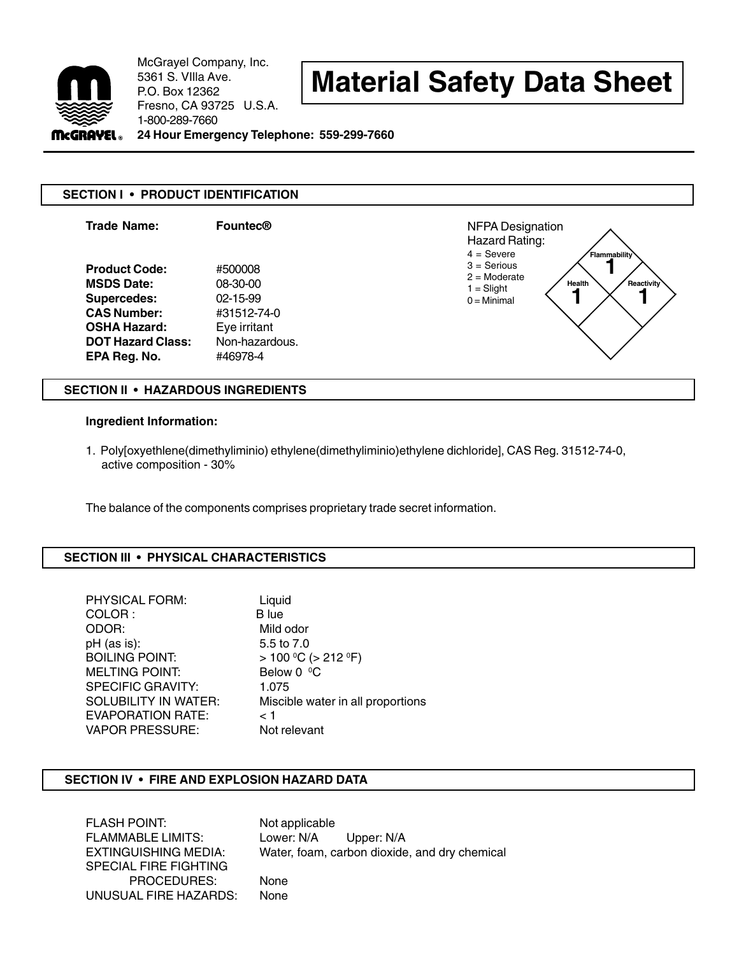

McGrayel Company, Inc. 5361 S. VIlla Ave. P.O. Box 12362 Fresno, CA 93725 U.S.A. 1-800-289-7660

# **Material Safety Data Sheet**

**24 Hour Emergency Telephone: 559-299-7660**

## **SECTION I • PRODUCT IDENTIFICATION**



### **SECTION II • HAZARDOUS INGREDIENTS**

#### **Ingredient Information:**

1. Poly[oxyethlene(dimethyliminio) ethylene(dimethyliminio)ethylene dichloride], CAS Reg. 31512-74-0, active composition - 30%

The balance of the components comprises proprietary trade secret information.

## **SECTION III • PHYSICAL CHARACTERISTICS**

| <b>PHYSICAL FORM:</b>       | Liquid                            |
|-----------------------------|-----------------------------------|
| COLOR:                      | B lue                             |
| ODOR:                       | Mild odor                         |
| pH (as is):                 | 5.5 to 7.0                        |
| <b>BOILING POINT:</b>       | $> 100 °C$ ( $> 212 °F$ )         |
| <b>MELTING POINT:</b>       | Below 0 °C                        |
| <b>SPECIFIC GRAVITY:</b>    | 1.075                             |
| <b>SOLUBILITY IN WATER:</b> | Miscible water in all proportions |
| <b>EVAPORATION RATE:</b>    | < 1                               |
| <b>VAPOR PRESSURE:</b>      | Not relevant                      |

## **SECTION IV • FIRE AND EXPLOSION HAZARD DATA**

FLASH POINT: Not applicable FLAMMABLE LIMITS: Lower: N/A Upper: N/A SPECIAL FIRE FIGHTING PROCEDURES: None UNUSUAL FIRE HAZARDS: None

EXTINGUISHING MEDIA: Water, foam, carbon dioxide, and dry chemical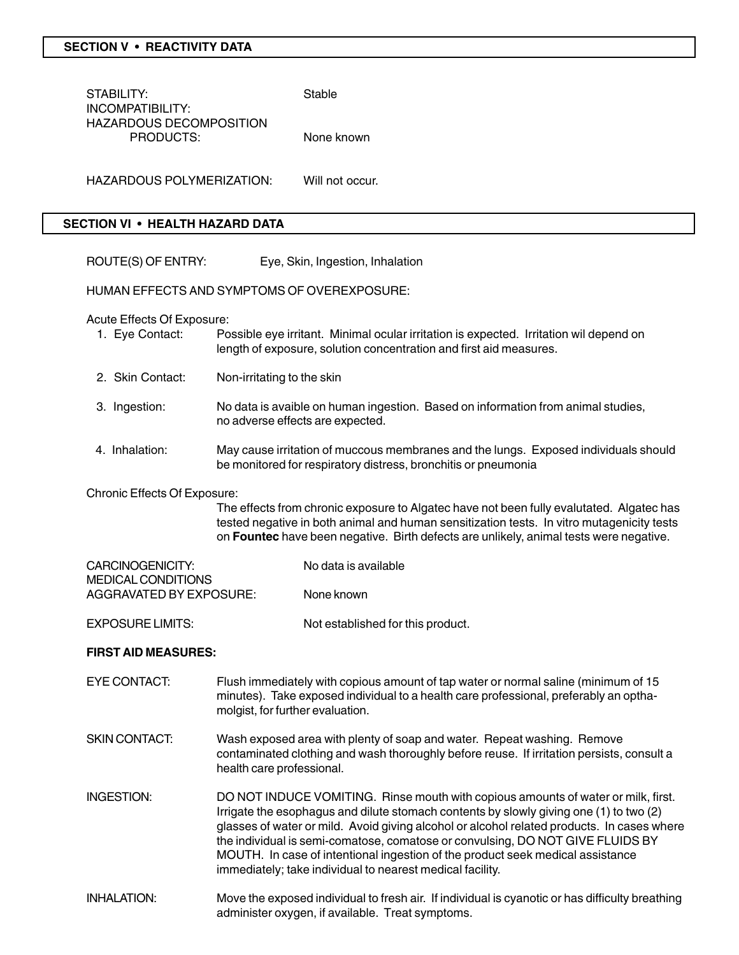#### **SECTION V • REACTIVITY DATA**

| STABILITY:<br><b>INCOMPATIBILITY:</b>  |                                                                                                                                                                                                               |                                                                                                                      | Stable                                                                                                                                                |  |
|----------------------------------------|---------------------------------------------------------------------------------------------------------------------------------------------------------------------------------------------------------------|----------------------------------------------------------------------------------------------------------------------|-------------------------------------------------------------------------------------------------------------------------------------------------------|--|
|                                        | <b>HAZARDOUS DECOMPOSITION</b><br>PRODUCTS:                                                                                                                                                                   |                                                                                                                      | None known                                                                                                                                            |  |
|                                        | <b>HAZARDOUS POLYMERIZATION:</b>                                                                                                                                                                              |                                                                                                                      | Will not occur.                                                                                                                                       |  |
| <b>SECTION VI • HEALTH HAZARD DATA</b> |                                                                                                                                                                                                               |                                                                                                                      |                                                                                                                                                       |  |
|                                        | ROUTE(S) OF ENTRY:                                                                                                                                                                                            |                                                                                                                      | Eye, Skin, Ingestion, Inhalation                                                                                                                      |  |
|                                        | HUMAN EFFECTS AND SYMPTOMS OF OVEREXPOSURE:                                                                                                                                                                   |                                                                                                                      |                                                                                                                                                       |  |
|                                        | Acute Effects Of Exposure:<br>Possible eye irritant. Minimal ocular irritation is expected. Irritation wil depend on<br>1. Eye Contact:<br>length of exposure, solution concentration and first aid measures. |                                                                                                                      |                                                                                                                                                       |  |
|                                        | 2. Skin Contact:                                                                                                                                                                                              | Non-irritating to the skin                                                                                           |                                                                                                                                                       |  |
|                                        | 3. Ingestion:                                                                                                                                                                                                 | No data is avaible on human ingestion. Based on information from animal studies,<br>no adverse effects are expected. |                                                                                                                                                       |  |
|                                        | 4. Inhalation:                                                                                                                                                                                                |                                                                                                                      | May cause irritation of muccous membranes and the lungs. Exposed individuals should<br>be monitored for respiratory distress, bronchitis or pneumonia |  |
|                                        | Chronic Effects Of Exposure:                                                                                                                                                                                  |                                                                                                                      | The effects from chronic exposure to Algatec have not been fully evalutated. Algatec has                                                              |  |

ave not been fully evalutated. Algatec has tested negative in both animal and human sensitization tests. In vitro mutagenicity tests on **Fountec** have been negative. Birth defects are unlikely, animal tests were negative.

| CARCINOGENICITY:          | No data is available |
|---------------------------|----------------------|
| <b>MEDICAL CONDITIONS</b> |                      |
| AGGRAVATED BY EXPOSURE:   | None known           |
|                           |                      |

EXPOSURE LIMITS: Not established for this product.

#### **FIRST AID MEASURES:**

- EYE CONTACT: Flush immediately with copious amount of tap water or normal saline (minimum of 15 minutes). Take exposed individual to a health care professional, preferably an opthamolgist, for further evaluation.
- SKIN CONTACT: Wash exposed area with plenty of soap and water. Repeat washing. Remove contaminated clothing and wash thoroughly before reuse. If irritation persists, consult a health care professional.
- INGESTION: DO NOT INDUCE VOMITING. Rinse mouth with copious amounts of water or milk, first. Irrigate the esophagus and dilute stomach contents by slowly giving one (1) to two (2) glasses of water or mild. Avoid giving alcohol or alcohol related products. In cases where the individual is semi-comatose, comatose or convulsing, DO NOT GIVE FLUIDS BY MOUTH. In case of intentional ingestion of the product seek medical assistance immediately; take individual to nearest medical facility.
- INHALATION: Move the exposed individual to fresh air. If individual is cyanotic or has difficulty breathing administer oxygen, if available. Treat symptoms.